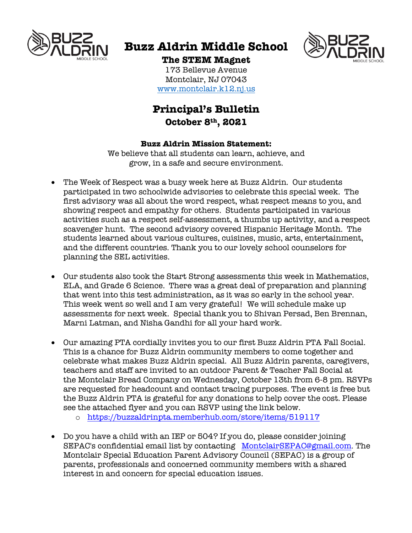

# **Buzz Aldrin Middle School**



# **The STEM Magnet**

173 Bellevue Avenue Montclair, NJ 07043 www.montclair.k12.nj.us

# **Principal's Bulletin October 8th, 2021**

#### **Buzz Aldrin Mission Statement:**

We believe that all students can learn, achieve, and grow, in a safe and secure environment.

- The Week of Respect was a busy week here at Buzz Aldrin. Our students participated in two schoolwide advisories to celebrate this special week. The first advisory was all about the word respect, what respect means to you, and showing respect and empathy for others. Students participated in various activities such as a respect self-assessment, a thumbs up activity, and a respect scavenger hunt. The second advisory covered Hispanic Heritage Month. The students learned about various cultures, cuisines, music, arts, entertainment, and the different countries. Thank you to our lovely school counselors for planning the SEL activities.
- Our students also took the Start Strong assessments this week in Mathematics, ELA, and Grade 6 Science. There was a great deal of preparation and planning that went into this test administration, as it was so early in the school year. This week went so well and I am very grateful! We will schedule make up assessments for next week. Special thank you to Shivan Persad, Ben Brennan, Marni Latman, and Nisha Gandhi for all your hard work.
- Our amazing PTA cordially invites you to our first Buzz Aldrin PTA Fall Social. This is a chance for Buzz Aldrin community members to come together and celebrate what makes Buzz Aldrin special. All Buzz Aldrin parents, caregivers, teachers and staff are invited to an outdoor Parent & Teacher Fall Social at the Montclair Bread Company on Wednesday, October 13th from 6-8 pm. RSVPs are requested for headcount and contact tracing purposes. The event is free but the Buzz Aldrin PTA is grateful for any donations to help cover the cost. Please see the attached flyer and you can RSVP using the link below.
	- o https://buzzaldrinpta.memberhub.com/store/items/519117
- Do you have a child with an IEP or 504? If you do, please consider joining SEPAC's confidential email list by contacting MontclairSEPAC@gmail.com. The Montclair Special Education Parent Advisory Council (SEPAC) is a group of parents, professionals and concerned community members with a shared interest in and concern for special education issues.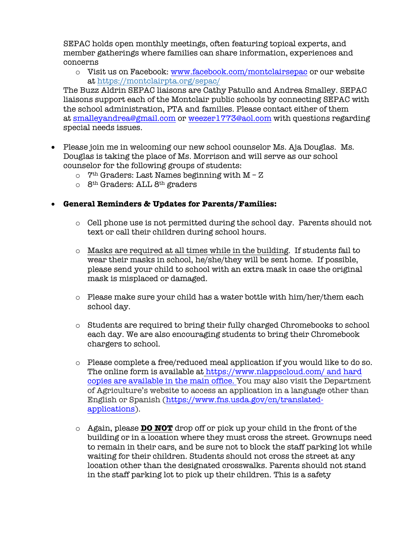SEPAC holds open monthly meetings, often featuring topical experts, and member gatherings where families can share information, experiences and concerns

 $\circ$  Visit us on Facebook: www.facebook.com/montclairsepac or our website at https://montclairpta.org/sepac/

The Buzz Aldrin SEPAC liaisons are Cathy Patullo and Andrea Smalley. SEPAC liaisons support each of the Montclair public schools by connecting SEPAC with the school administration, PTA and families. Please contact either of them at smalleyandrea@gmail.com or weezer1773@aol.com with questions regarding special needs issues.

- Please join me in welcoming our new school counselor Ms. Aja Douglas. Ms. Douglas is taking the place of Ms. Morrison and will serve as our school counselor for the following groups of students:
	- $\circ$  7<sup>th</sup> Graders: Last Names beginning with M Z
	- $\circ$  8<sup>th</sup> Graders: ALL 8<sup>th</sup> graders

#### • **General Reminders & Updates for Parents/Families:**

- o Cell phone use is not permitted during the school day. Parents should not text or call their children during school hours.
- o Masks are required at all times while in the building. If students fail to wear their masks in school, he/she/they will be sent home. If possible, please send your child to school with an extra mask in case the original mask is misplaced or damaged.
- $\circ$  Please make sure your child has a water bottle with him/her/them each school day.
- o Students are required to bring their fully charged Chromebooks to school each day. We are also encouraging students to bring their Chromebook chargers to school.
- o Please complete a free/reduced meal application if you would like to do so. The online form is available at https://www.nlappscloud.com/ and hard copies are available in the main office. You may also visit the Department of Agriculture's website to access an application in a language other than English or Spanish (https://www.fns.usda.gov/cn/translatedapplications).
- o Again, please **DO NOT** drop off or pick up your child in the front of the building or in a location where they must cross the street. Grownups need to remain in their cars, and be sure not to block the staff parking lot while waiting for their children. Students should not cross the street at any location other than the designated crosswalks. Parents should not stand in the staff parking lot to pick up their children. This is a safety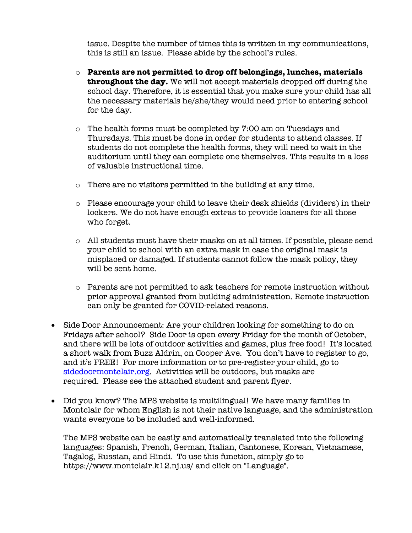issue. Despite the number of times this is written in my communications, this is still an issue. Please abide by the school's rules.

- o **Parents are not permitted to drop off belongings, lunches, materials throughout the day.** We will not accept materials dropped off during the school day. Therefore, it is essential that you make sure your child has all the necessary materials he/she/they would need prior to entering school for the day.
- o The health forms must be completed by 7:00 am on Tuesdays and Thursdays. This must be done in order for students to attend classes. If students do not complete the health forms, they will need to wait in the auditorium until they can complete one themselves. This results in a loss of valuable instructional time.
- o There are no visitors permitted in the building at any time.
- o Please encourage your child to leave their desk shields (dividers) in their lockers. We do not have enough extras to provide loaners for all those who forget.
- o All students must have their masks on at all times. If possible, please send your child to school with an extra mask in case the original mask is misplaced or damaged. If students cannot follow the mask policy, they will be sent home.
- o Parents are not permitted to ask teachers for remote instruction without prior approval granted from building administration. Remote instruction can only be granted for COVID-related reasons.
- Side Door Announcement: Are your children looking for something to do on Fridays after school? Side Door is open every Friday for the month of October, and there will be lots of outdoor activities and games, plus free food! It's located a short walk from Buzz Aldrin, on Cooper Ave. You don't have to register to go, and it's FREE! For more information or to pre-register your child, go to sidedoormontclair.org. Activities will be outdoors, but masks are required. Please see the attached student and parent flyer.
- Did you know? The MPS website is multilingual! We have many families in Montclair for whom English is not their native language, and the administration wants everyone to be included and well-informed.

The MPS website can be easily and automatically translated into the following languages: Spanish, French, German, Italian, Cantonese, Korean, Vietnamese, Tagalog, Russian, and Hindi. To use this function, simply go to https://www.montclair.k12.nj.us/ and click on "Language".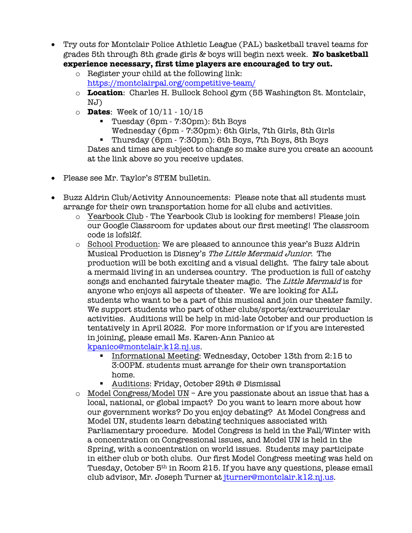- Try outs for Montclair Police Athletic League (PAL) basketball travel teams for grades 5th through 8th grade girls & boys will begin next week. **No basketball experience necessary, first time players are encouraged to try out.**
	- o Register your child at the following link: https://montclairpal.org/competitive-team/
	- o **Location**: Charles H. Bullock School gym (55 Washington St. Montclair, NJ)
	- o **Dates**: Week of 10/11 10/15
		- § Tuesday (6pm 7:30pm): 5th Boys
		- Wednesday (6pm 7:30pm): 6th Girls, 7th Girls, 8th Girls

■ Thursday (6pm - 7:30pm): 6th Boys, 7th Boys, 8th Boys Dates and times are subject to change so make sure you create an account at the link above so you receive updates.

- Please see Mr. Taylor's STEM bulletin.
- Buzz Aldrin Club/Activity Announcements: Please note that all students must arrange for their own transportation home for all clubs and activities.
	- o Yearbook Club The Yearbook Club is looking for members! Please join our Google Classroom for updates about our first meeting! The classroom code is lofsl2f.
	- o School Production: We are pleased to announce this year's Buzz Aldrin Musical Production is Disney's The Little Mermaid Junior. The production will be both exciting and a visual delight. The fairy tale about a mermaid living in an undersea country. The production is full of catchy songs and enchanted fairytale theater magic. The Little Mermaid is for anyone who enjoys all aspects of theater. We are looking for ALL students who want to be a part of this musical and join our theater family. We support students who part of other clubs/sports/extracurricular activities. Auditions will be help in mid-late October and our production is tentatively in April 2022. For more information or if you are interested in joining, please email Ms. Karen-Ann Panico at kpanico@montclair.k12.nj.us.
		- Informational Meeting: Wednesday, October 13th from 2:15 to 3:00PM. students must arrange for their own transportation home.
		- Auditions: Friday, October 29th @ Dismissal
	- o Model Congress/Model UN Are you passionate about an issue that has a local, national, or global impact? Do you want to learn more about how our government works? Do you enjoy debating? At Model Congress and Model UN, students learn debating techniques associated with Parliamentary procedure. Model Congress is held in the Fall/Winter with a concentration on Congressional issues, and Model UN is held in the Spring, with a concentration on world issues. Students may participate in either club or both clubs. Our first Model Congress meeting was held on Tuesday, October 5<sup>th</sup> in Room 215. If you have any questions, please email club advisor, Mr. Joseph Turner at jturner@montclair.k12.nj.us.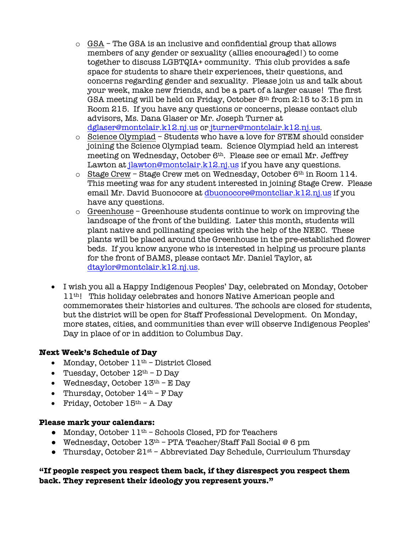- $\circ$  GSA The GSA is an inclusive and confidential group that allows members of any gender or sexuality (allies encouraged!) to come together to discuss LGBTQIA+ community. This club provides a safe space for students to share their experiences, their questions, and concerns regarding gender and sexuality. Please join us and talk about your week, make new friends, and be a part of a larger cause! The first GSA meeting will be held on Friday, October 8th from 2:15 to 3:15 pm in Room 215. If you have any questions or concerns, please contact club advisors, Ms. Dana Glaser or Mr. Joseph Turner at dglaser@montclair.k12.nj.us or jturner@montclair.k12.nj.us.
- o Science Olympiad Students who have a love for STEM should consider joining the Science Olympiad team. Science Olympiad held an interest meeting on Wednesday, October 6<sup>th</sup>. Please see or email Mr. Jeffrey Lawton at jlawton@montclair.k12.nj.us if you have any questions.
- $\circ$  Stage Crew Stage Crew met on Wednesday, October 6<sup>th</sup> in Room 114. This meeting was for any student interested in joining Stage Crew. Please email Mr. David Buonocore at dbuonocore@montcliar.k12.nj.us if you have any questions.
- $\circ$  Greenhouse Greenhouse students continue to work on improving the landscape of the front of the building. Later this month, students will plant native and pollinating species with the help of the NEEC. These plants will be placed around the Greenhouse in the pre-established flower beds. If you know anyone who is interested in helping us procure plants for the front of BAMS, please contact Mr. Daniel Taylor, at dtaylor@montclair.k12.nj.us.
- I wish you all a Happy Indigenous Peoples' Day, celebrated on Monday, October 11th! This holiday celebrates and honors Native American people and commemorates their histories and cultures. The schools are closed for students, but the district will be open for Staff Professional Development. On Monday, more states, cities, and communities than ever will observe Indigenous Peoples' Day in place of or in addition to Columbus Day.

## **Next Week's Schedule of Day**

- Monday, October  $11<sup>th</sup>$  District Closed
- Tuesday, October  $12<sup>th</sup>$  D Day
- Wednesday, October  $13<sup>th</sup>$  E Day
- Thursday, October  $14<sup>th</sup>$  F Day
- Friday, October  $15<sup>th</sup>$  A Day

## **Please mark your calendars:**

- Monday, October 11<sup>th</sup> Schools Closed, PD for Teachers
- Wednesday, October  $13<sup>th</sup>$  PTA Teacher/Staff Fall Social @ 6 pm
- Thursday, October 21<sup>st</sup> Abbreviated Day Schedule, Curriculum Thursday

## **"If people respect you respect them back, if they disrespect you respect them back. They represent their ideology you represent yours."**